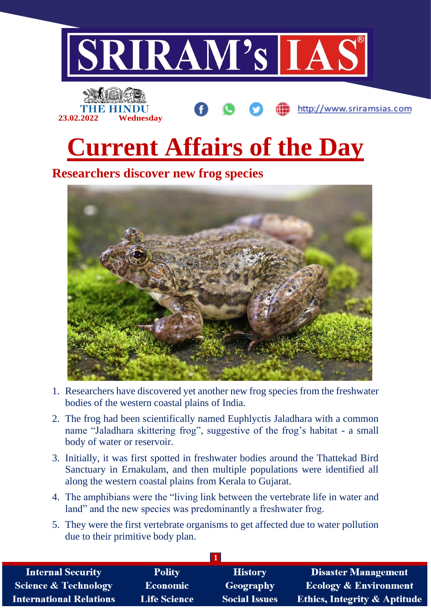



**Current Affairs of the Day**

http://www.sriramsias.com

**Researchers discover new frog species**



- 1. Researchers have discovered yet another new frog species from the freshwater bodies of the western coastal plains of India.
- 2. The frog had been scientifically named Euphlyctis Jaladhara with a common name "Jaladhara skittering frog", suggestive of the frog's habitat - a small body of water or reservoir.
- 3. Initially, it was first spotted in freshwater bodies around the Thattekad Bird Sanctuary in Ernakulam, and then multiple populations were identified all along the western coastal plains from Kerala to Gujarat.
- 4. The amphibians were the "living link between the vertebrate life in water and land" and the new species was predominantly a freshwater frog.
- 5. They were the first vertebrate organisms to get affected due to water pollution due to their primitive body plan.

| <b>Internal Security</b>        | <b>Polity</b>       | <b>History</b>       | <b>Disaster Management</b>              |
|---------------------------------|---------------------|----------------------|-----------------------------------------|
| <b>Science &amp; Technology</b> | <b>Economic</b>     | Geography            | <b>Ecology &amp; Environment</b>        |
| <b>International Relations</b>  | <b>Life Science</b> | <b>Social Issues</b> | <b>Ethics, Integrity &amp; Aptitude</b> |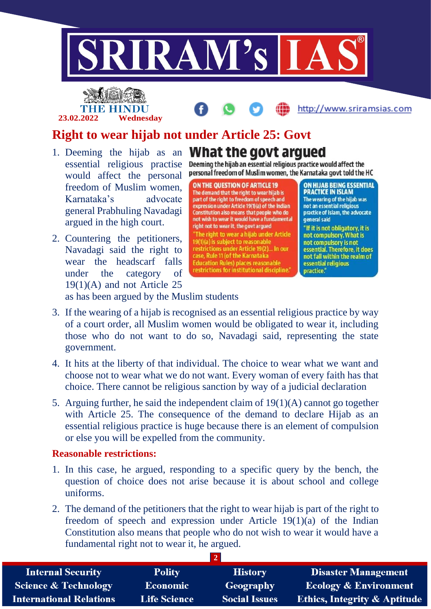

## **23.02.2022 Wednesday**



## **Right to wear hijab not under Article 25: Govt**

- essential religious practise would affect the personal freedom of Muslim women, Karnataka's advocate general Prabhuling Navadagi argued in the high court.
- 2. Countering the petitioners, Navadagi said the right to wear the headscarf falls under the category of 19(1)(A) and not Article 25

## 1. Deeming the hijab as an **What the govt arqued**

Deeming the hijab an essential religious practice would affect the personal freedom of Muslim women, the Karnataka govt told the HC

**ON THE OUESTION OF ARTICLE 19** The demand that the right to wear hijab is<br>part of the right to freedom of speech and<br>expression under Article 19(1)(a) of the Indian Constitution also means that people who do not wish to wear it would have a fundamental right not to wear it, the govt argued 'The right to wear a hijab under Article 19(1)(a) is subject to reasonable restrictions under Article 19(2)... In our<br>case, Rule 11 (of the Karnataka **Education Rules) places reasonable** restrictions for institutional discipline."

ON HIJAB BEING ESSENTIAL **PRACTICE IN ISLAM** The wearing of the hijab was not an essential religious practice of Islam, the advocate general said "If it is not obligatory, it is not compulsory. What is not compulsory is not essential. Therefore, it does not fall within the realm of

essential religious

practice."

as has been argued by the Muslim students

- 3. If the wearing of a hijab is recognised as an essential religious practice by way of a court order, all Muslim women would be obligated to wear it, including those who do not want to do so, Navadagi said, representing the state government.
- 4. It hits at the liberty of that individual. The choice to wear what we want and choose not to wear what we do not want. Every woman of every faith has that choice. There cannot be religious sanction by way of a judicial declaration
- 5. Arguing further, he said the independent claim of 19(1)(A) cannot go together with Article 25. The consequence of the demand to declare Hijab as an essential religious practice is huge because there is an element of compulsion or else you will be expelled from the community.

## **Reasonable restrictions:**

- 1. In this case, he argued, responding to a specific query by the bench, the question of choice does not arise because it is about school and college uniforms.
- 2. The demand of the petitioners that the right to wear hijab is part of the right to freedom of speech and expression under Article 19(1)(a) of the Indian Constitution also means that people who do not wish to wear it would have a fundamental right not to wear it, he argued.

| <b>Internal Security</b>        | <b>Polity</b>       | <b>History</b>       | <b>Disaster Management</b>              |  |  |  |
|---------------------------------|---------------------|----------------------|-----------------------------------------|--|--|--|
| <b>Science &amp; Technology</b> | <b>Economic</b>     | Geography            | <b>Ecology &amp; Environment</b>        |  |  |  |
| <b>International Relations</b>  | <b>Life Science</b> | <b>Social Issues</b> | <b>Ethics, Integrity &amp; Aptitude</b> |  |  |  |